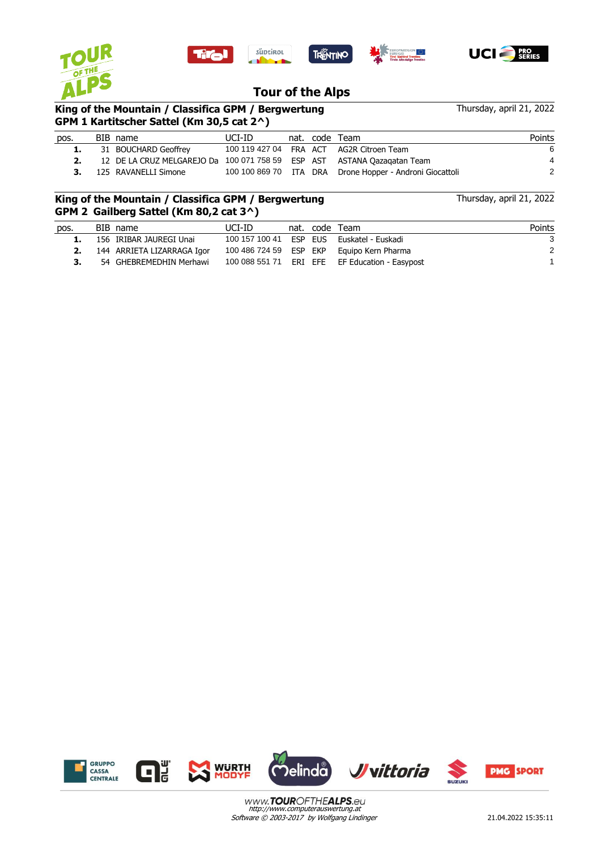







 $\frac{1}{2}$  .  $\frac{1}{2}$  .

Thursday, april 21, 2022

Thursday, april 21, 2022

## **Tour of the Alps**

## **King of the Mountain / Classifica GPM / Bergwertung GPM 1 Kartitscher Sattel (Km 30,5 cat 2^)**

| pos. | BIB name                                                                | UCI-ID |  | nat. code Team                                           | Points |
|------|-------------------------------------------------------------------------|--------|--|----------------------------------------------------------|--------|
|      | 31 BOUCHARD Geoffrey                                                    |        |  | 100 119 427 04 FRA ACT AG2R Citroen Team                 | 6      |
|      | 12 DE LA CRUZ MELGAREJO Da 100 071 758 59 ESP AST ASTANA Oazagatan Team |        |  |                                                          | 4      |
|      | <b>3.</b> 125 RAVANELLI Simone                                          |        |  | 100 100 869 70 ITA DRA Drone Hopper - Androni Giocattoli | 2      |

## **King of the Mountain / Classifica GPM / Bergwertung GPM 2 Gailberg Sattel (Km 80,2 cat 3^)**

| pos. | BIB name                      | UCI-ID |  | nat. code Team                                 | Points |
|------|-------------------------------|--------|--|------------------------------------------------|--------|
| 1.   | 156 IRIBAR JAUREGI Unai       |        |  | 100 157 100 41 ESP EUS Euskatel - Euskadi      | ີ      |
|      | 2. 144 ARRIETA LIZARRAGA Igor |        |  | 100 486 724 59 ESP EKP Equipo Kern Pharma      |        |
| 3.   | 54 GHEBREMEDHIN Merhawi       |        |  | 100 088 551 71 ERI EFE EF Education - Easypost |        |